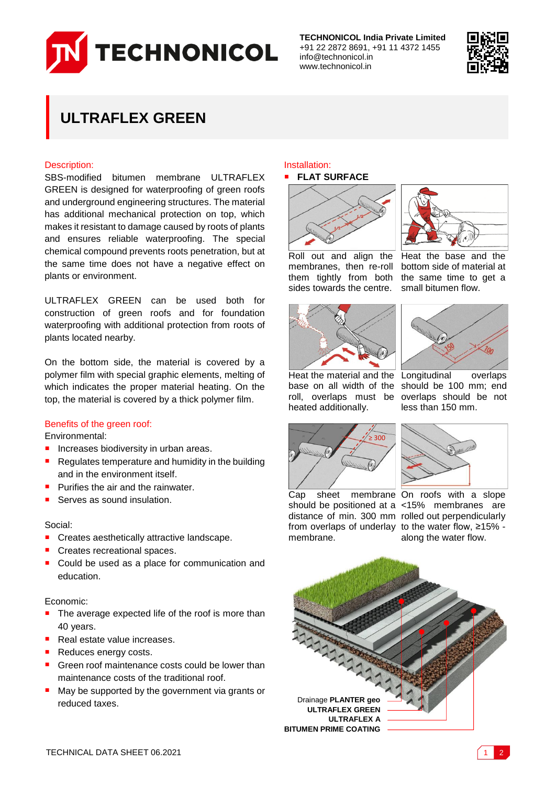

**TECHNONICOL India Private Limited** +91 22 2872 8691, +91 11 4372 1455 info@technonicol.in www.technonicol.in



# **ULTRAFLEX GREEN**

# Description:

SBS-modified bitumen membrane ULTRAFLEX GREEN is designed for waterproofing of green roofs and underground engineering structures. The material has additional mechanical protection on top, which makes it resistant to damage caused by roots of plants and ensures reliable waterproofing. The special chemical compound prevents roots penetration, but at the same time does not have a negative effect on plants or environment.

ULTRAFLEX GREEN can be used both for construction of green roofs and for foundation waterproofing with additional protection from roots of plants located nearby.

On the bottom side, the material is covered by a polymer film with special graphic elements, melting of which indicates the proper material heating. On the top, the material is covered by a thick polymer film.

# Benefits of the green roof:

Environmental:

- **Increases biodiversity in urban areas.**
- Regulates temperature and humidity in the building and in the environment itself.
- Purifies the air and the rainwater.
- Serves as sound insulation.

#### Social:

- **Creates aesthetically attractive landscape.**
- Creates recreational spaces.
- Could be used as a place for communication and education.

### Economic:

- The average expected life of the roof is more than 40 years.
- Real estate value increases.
- Reduces energy costs.
- Green roof maintenance costs could be lower than maintenance costs of the traditional roof.
- May be supported by the government via grants or reduced taxes.

### Installation: **FLAT SURFACE**





Heat the base and the bottom side of material at the same time to get a small bitumen flow.





Heat the material and the Longitudinal overlaps base on all width of the roll, overlaps must be heated additionally.







Cap sheet membrane On roofs with a slope from overlaps of underlay to the water flow, ≥15% membrane.

should be positioned at a <15% membranes are distance of min. 300 mm rolled out perpendicularly along the water flow.